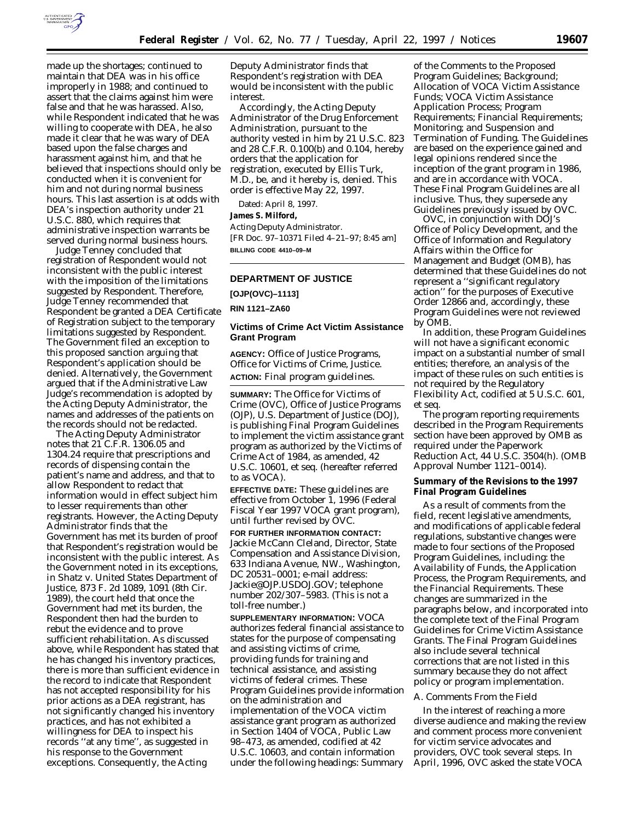

made up the shortages; continued to maintain that DEA was in his office improperly in 1988; and continued to assert that the claims against him were false and that he was harassed. Also, while Respondent indicated that he was willing to cooperate with DEA, he also made it clear that he was wary of DEA based upon the false charges and harassment against him, and that he believed that inspections should only be conducted when it is convenient for him and not during normal business hours. This last assertion is at odds with DEA's inspection authority under 21 U.S.C. 880, which requires that administrative inspection warrants be served during normal business hours.

Judge Tenney concluded that registration of Respondent would not inconsistent with the public interest with the imposition of the limitations suggested by Respondent. Therefore, Judge Tenney recommended that Respondent be granted a DEA Certificate of Registration subject to the temporary limitations suggested by Respondent. The Government filed an exception to this proposed sanction arguing that Respondent's application should be denied. Alternatively, the Government argued that if the Administrative Law Judge's recommendation is adopted by the Acting Deputy Administrator, the names and addresses of the patients on the records should not be redacted.

The Acting Deputy Administrator notes that 21 C.F.R. 1306.05 and 1304.24 require that prescriptions and records of dispensing contain the patient's name and address, and that to allow Respondent to redact that information would in effect subject him to lesser requirements than other registrants. However, the Acting Deputy Administrator finds that the Government has met its burden of proof that Respondent's registration would be inconsistent with the public interest. As the Government noted in its exceptions, in *Shatz* v. *United States Department of Justice,* 873 F. 2d 1089, 1091 (8th Cir. 1989), the court held that once the Government had met its burden, the Respondent then had the burden to rebut the evidence and to prove sufficient rehabilitation. As discussed above, while Respondent has stated that he has changed his inventory practices, there is more than sufficient evidence in the record to indicate that Respondent has not accepted responsibility for his prior actions as a DEA registrant, has not significantly changed his inventory practices, and has not exhibited a willingness for DEA to inspect his records ''at any time'', as suggested in his response to the Government exceptions. Consequently, the Acting

Deputy Administrator finds that Respondent's registration with DEA would be inconsistent with the public interest.

Accordingly, the Acting Deputy Administrator of the Drug Enforcement Administration, pursuant to the authority vested in him by 21 U.S.C. 823 and 28 C.F.R. 0.100(b) and 0.104, hereby orders that the application for registration, executed by Ellis Turk, M.D., be, and it hereby is, denied. This order is effective May 22, 1997.

Dated: April 8, 1997.

# **James S. Milford,**

*Acting Deputy Administrator.* [FR Doc. 97–10371 Filed 4–21–97; 8:45 am] **BILLING CODE 4410–09–M**

# **DEPARTMENT OF JUSTICE**

**[OJP(OVC)–1113]**

**RIN 1121–ZA60**

## **Victims of Crime Act Victim Assistance Grant Program**

**AGENCY:** Office of Justice Programs, Office for Victims of Crime, Justice. **ACTION:** Final program guidelines.

**SUMMARY:** The Office for Victims of Crime (OVC), Office of Justice Programs (OJP), U.S. Department of Justice (DOJ), is publishing Final Program Guidelines to implement the victim assistance grant program as authorized by the Victims of Crime Act of 1984, as amended, 42 U.S.C. 10601, *et seq.* (hereafter referred to as VOCA).

**EFFECTIVE DATE:** These guidelines are effective from October 1, 1996 (Federal Fiscal Year 1997 VOCA grant program), until further revised by OVC.

**FOR FURTHER INFORMATION CONTACT:** Jackie McCann Cleland, Director, State Compensation and Assistance Division, 633 Indiana Avenue, NW., Washington, DC 20531–0001; e-mail address: Jackie@OJP.USDOJ.GOV; telephone number 202/307–5983. (This is not a toll-free number.)

**SUPPLEMENTARY INFORMATION:** VOCA authorizes federal financial assistance to states for the purpose of compensating and assisting victims of crime, providing funds for training and technical assistance, and assisting victims of federal crimes. These Program Guidelines provide information on the administration and implementation of the VOCA victim assistance grant program as authorized in Section 1404 of VOCA, Public Law 98–473, as amended, codified at 42 U.S.C. 10603, and contain information under the following headings: *Summary*

*of the Comments to the Proposed Program Guidelines; Background; Allocation of VOCA Victim Assistance Funds; VOCA Victim Assistance Application Process; Program Requirements; Financial Requirements; Monitoring; and Suspension and Termination of Funding.* The Guidelines are based on the experience gained and legal opinions rendered since the inception of the grant program in 1986, and are in accordance with VOCA. These Final Program Guidelines are all inclusive. Thus, they supersede any Guidelines previously issued by OVC.

OVC, in conjunction with DOJ's Office of Policy Development, and the Office of Information and Regulatory Affairs within the Office for Management and Budget (OMB), has determined that these Guidelines do not represent a ''significant regulatory action'' for the purposes of Executive Order 12866 and, accordingly, these Program Guidelines were not reviewed by OMB.

In addition, these Program Guidelines will not have a significant economic impact on a substantial number of small entities; therefore, an analysis of the impact of these rules on such entities is not required by the Regulatory Flexibility Act, codified at 5 U.S.C. 601, *et seq.*

The program reporting requirements described in the *Program Requirements* section have been approved by OMB as required under the Paperwork Reduction Act, 44 U.S.C. 3504(h). (OMB Approval Number 1121–0014).

# **Summary of the Revisions to the 1997 Final Program Guidelines**

As a result of comments from the field, recent legislative amendments, and modifications of applicable federal regulations, substantive changes were made to four sections of the Proposed Program Guidelines, including: the *Availability of Funds,* the *Application Process,* the *Program Requirements,* and the *Financial Requirements.* These changes are summarized in the paragraphs below, and incorporated into the complete text of the *Final Program Guidelines for Crime Victim Assistance Grants.* The Final Program Guidelines also include several technical corrections that are not listed in this summary because they do not affect policy or program implementation.

### *A. Comments From the Field*

In the interest of reaching a more diverse audience and making the review and comment process more convenient for victim service advocates and providers, OVC took several steps. In April, 1996, OVC asked the state VOCA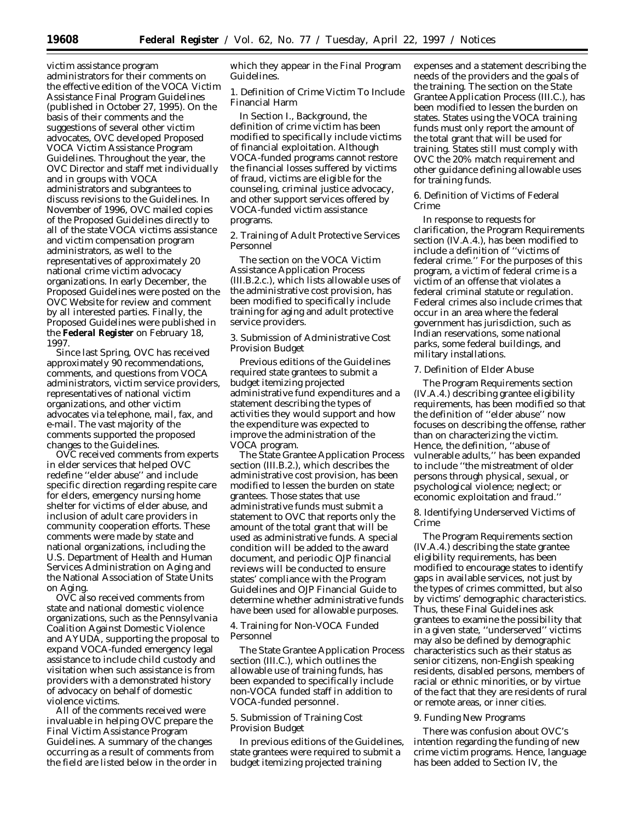victim assistance program administrators for their comments on the effective edition of the VOCA Victim Assistance Final Program Guidelines (published in October 27, 1995). On the basis of their comments and the suggestions of several other victim advocates, OVC developed Proposed VOCA Victim Assistance Program Guidelines. Throughout the year, the OVC Director and staff met individually and in groups with VOCA administrators and subgrantees to discuss revisions to the Guidelines. In November of 1996, OVC mailed copies of the Proposed Guidelines directly to all of the state VOCA victims assistance and victim compensation program administrators, as well to the representatives of approximately 20 national crime victim advocacy organizations. In early December, the Proposed Guidelines were posted on the OVC Website for review and comment by all interested parties. Finally, the Proposed Guidelines were published in the **Federal Register** on February 18, 1997.

Since last Spring, OVC has received approximately 90 recommendations, comments, and questions from VOCA administrators, victim service providers, representatives of national victim organizations, and other victim advocates via telephone, mail, fax, and e-mail. The vast majority of the comments supported the proposed changes to the Guidelines.

OVC received comments from experts in elder services that helped OVC redefine ''elder abuse'' and include specific direction regarding respite care for elders, emergency nursing home shelter for victims of elder abuse, and inclusion of adult care providers in community cooperation efforts. These comments were made by state and national organizations, including the U.S. Department of Health and Human Services Administration on Aging and the National Association of State Units on Aging.

OVC also received comments from state and national domestic violence organizations, such as the Pennsylvania Coalition Against Domestic Violence and AYUDA, supporting the proposal to expand VOCA-funded emergency legal assistance to include child custody and visitation when such assistance is from providers with a demonstrated history of advocacy on behalf of domestic violence victims.

All of the comments received were invaluable in helping OVC prepare the Final Victim Assistance Program Guidelines. A summary of the changes occurring as a result of comments from the field are listed below in the order in which they appear in the Final Program Guidelines.

1. Definition of Crime Victim To Include Financial Harm

In Section I., Background, the definition of crime victim has been modified to specifically include victims of financial exploitation. Although VOCA-funded programs cannot restore the financial losses suffered by victims of fraud, victims are eligible for the counseling, criminal justice advocacy, and other support services offered by VOCA-funded victim assistance programs.

2. Training of Adult Protective Services Personnel

The section on the VOCA Victim Assistance Application Process (III.B.2.c.), which lists allowable uses of the administrative cost provision, has been modified to specifically include training for aging and adult protective service providers.

3. Submission of Administrative Cost Provision Budget

Previous editions of the Guidelines required state grantees to submit a budget itemizing projected administrative fund expenditures and a statement describing the types of activities they would support and how the expenditure was expected to improve the administration of the VOCA program.

The State Grantee Application Process section (III.B.2.), which describes the administrative cost provision, has been modified to lessen the burden on state grantees. Those states that use administrative funds must submit a statement to OVC that reports only the amount of the total grant that will be used as administrative funds. A special condition will be added to the award document, and periodic OJP financial reviews will be conducted to ensure states' compliance with the Program Guidelines and OJP Financial Guide to determine whether administrative funds have been used for allowable purposes.

4. Training for Non-VOCA Funded Personnel

The State Grantee Application Process section (III.C.), which outlines the allowable use of training funds, has been expanded to specifically include non-VOCA funded staff in addition to VOCA-funded personnel.

5. Submission of Training Cost Provision Budget

In previous editions of the Guidelines, state grantees were required to submit a budget itemizing projected training

expenses and a statement describing the needs of the providers and the goals of the training. The section on the State Grantee Application Process (III.C.), has been modified to lessen the burden on states. States using the VOCA training funds must only report the amount of the total grant that will be used for training. States still must comply with OVC the 20% match requirement and other guidance defining allowable uses for training funds.

6. Definition of Victims of Federal Crime

In response to requests for clarification, the Program Requirements section (IV.A.4.), has been modified to include a definition of ''victims of federal crime.'' For the purposes of this program, a victim of federal crime is a victim of an offense that violates a federal criminal statute or regulation. Federal crimes also include crimes that occur in an area where the federal government has jurisdiction, such as Indian reservations, some national parks, some federal buildings, and military installations.

### 7. Definition of Elder Abuse

The Program Requirements section (IV.A.4.) describing grantee eligibility requirements, has been modified so that the definition of ''elder abuse'' now focuses on describing the offense, rather than on characterizing the victim. Hence, the definition, ''abuse of vulnerable adults,'' has been expanded to include ''the mistreatment of older persons through physical, sexual, or psychological violence; neglect; or economic exploitation and fraud.''

8. Identifying Underserved Victims of Crime

The Program Requirements section (IV.A.4.) describing the state grantee eligibility requirements, has been modified to encourage states to identify gaps in available services, not just by the types of crimes committed, but also by victims' demographic characteristics. Thus, these Final Guidelines ask grantees to examine the possibility that in a given state, ''underserved'' victims may also be defined by demographic characteristics such as their status as senior citizens, non-English speaking residents, disabled persons, members of racial or ethnic minorities, or by virtue of the fact that they are residents of rural or remote areas, or inner cities.

#### 9. Funding New Programs

There was confusion about OVC's intention regarding the funding of new crime victim programs. Hence, language has been added to Section IV, the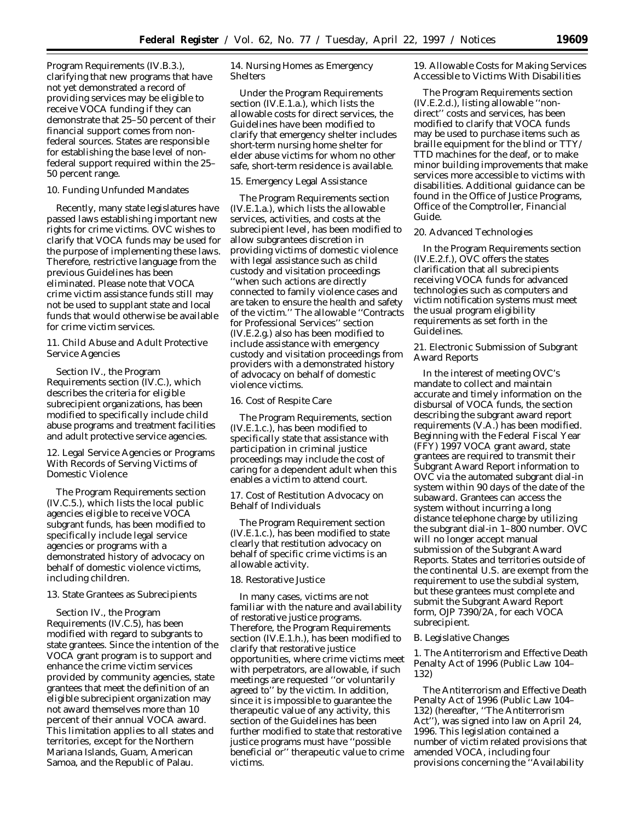Program Requirements (IV.B.3.), clarifying that new programs that have not yet demonstrated a record of providing services may be eligible to receive VOCA funding if they can demonstrate that 25–50 percent of their financial support comes from nonfederal sources. States are responsible for establishing the base level of nonfederal support required within the 25– 50 percent range.

#### 10. Funding Unfunded Mandates

Recently, many state legislatures have passed laws establishing important new rights for crime victims. OVC wishes to clarify that VOCA funds may be used for the purpose of implementing these laws. Therefore, restrictive language from the previous Guidelines has been eliminated. Please note that VOCA crime victim assistance funds still may not be used to supplant state and local funds that would otherwise be available for crime victim services.

11. Child Abuse and Adult Protective Service Agencies

Section IV., the Program Requirements section (IV.C.), which describes the criteria for eligible subrecipient organizations, has been modified to specifically include child abuse programs and treatment facilities and adult protective service agencies.

12. Legal Service Agencies or Programs With Records of Serving Victims of Domestic Violence

The Program Requirements section (IV.C.5.), which lists the local public agencies eligible to receive VOCA subgrant funds, has been modified to specifically include legal service agencies or programs with a demonstrated history of advocacy on behalf of domestic violence victims, including children.

#### 13. State Grantees as Subrecipients

Section IV., the Program Requirements (IV.C.5), has been modified with regard to subgrants to state grantees. Since the intention of the VOCA grant program is to support and enhance the crime victim services provided by community agencies, state grantees that meet the definition of an eligible subrecipient organization may not award themselves more than 10 percent of their annual VOCA award. This limitation applies to all states and territories, except for the Northern Mariana Islands, Guam, American Samoa, and the Republic of Palau.

14. Nursing Homes as Emergency Shelters

Under the Program Requirements section (IV.E.1.a.), which lists the allowable costs for direct services, the Guidelines have been modified to clarify that emergency shelter includes short-term nursing home shelter for elder abuse victims for whom no other safe, short-term residence is available.

# 15. Emergency Legal Assistance

The Program Requirements section (IV.E.1.a.), which lists the allowable services, activities, and costs at the subrecipient level, has been modified to allow subgrantees discretion in providing victims of domestic violence with legal assistance such as child custody and visitation proceedings ''when such actions are directly connected to family violence cases and are taken to ensure the health and safety of the victim.'' The allowable ''Contracts for Professional Services'' section (IV.E.2.g.) also has been modified to include assistance with emergency custody and visitation proceedings from providers with a demonstrated history of advocacy on behalf of domestic violence victims.

16. Cost of Respite Care

The Program Requirements, section (IV.E.1.c.), has been modified to specifically state that assistance with participation in criminal justice proceedings may include the cost of caring for a dependent adult when this enables a victim to attend court.

17. Cost of Restitution Advocacy on Behalf of Individuals

The Program Requirement section (IV.E.1.c.), has been modified to state clearly that restitution advocacy on behalf of specific crime victims is an allowable activity.

# 18. Restorative Justice

In many cases, victims are not familiar with the nature and availability of restorative justice programs. Therefore, the Program Requirements section (IV.E.1.h.), has been modified to clarify that restorative justice opportunities, where crime victims meet with perpetrators, are allowable, if such meetings are requested ''or voluntarily agreed to'' by the victim. In addition, since it is impossible to guarantee the therapeutic value of any activity, this section of the Guidelines has been further modified to state that restorative justice programs must have ''possible beneficial or'' therapeutic value to crime victims.

19. Allowable Costs for Making Services Accessible to Victims With Disabilities

The Program Requirements section (IV.E.2.d.), listing allowable ''nondirect'' costs and services, has been modified to clarify that VOCA funds may be used to purchase items such as braille equipment for the blind or TTY/ TTD machines for the deaf, or to make minor building improvements that make services more accessible to victims with disabilities. Additional guidance can be found in the Office of Justice Programs, Office of the Comptroller, *Financial Guide*.

20. Advanced Technologies

In the Program Requirements section (IV.E.2.f.), OVC offers the states clarification that all subrecipients receiving VOCA funds for advanced technologies such as computers and victim notification systems must meet the usual program eligibility requirements as set forth in the Guidelines.

21. Electronic Submission of Subgrant Award Reports

In the interest of meeting OVC's mandate to collect and maintain accurate and timely information on the disbursal of VOCA funds, the section describing the subgrant award report requirements (V.A.) has been modified. Beginning with the Federal Fiscal Year (FFY) 1997 VOCA grant award, state grantees are required to transmit their Subgrant Award Report information to OVC via the automated subgrant dial-in system within 90 days of the date of the subaward. Grantees can access the system without incurring a long distance telephone charge by utilizing the subgrant dial-in 1–800 number. OVC will no longer accept manual submission of the Subgrant Award Reports. States and territories outside of the continental U.S. are exempt from the requirement to use the subdial system, but these grantees must complete and submit the Subgrant Award Report form, OJP 7390/2A, for each VOCA subrecipient.

# *B. Legislative Changes*

1. The Antiterrorism and Effective Death Penalty Act of 1996 (Public Law 104– 132)

The Antiterrorism and Effective Death Penalty Act of 1996 (Public Law 104– 132) (hereafter, ''The Antiterrorism Act''), was signed into law on April 24, 1996. This legislation contained a number of victim related provisions that amended VOCA, including four provisions concerning the ''Availability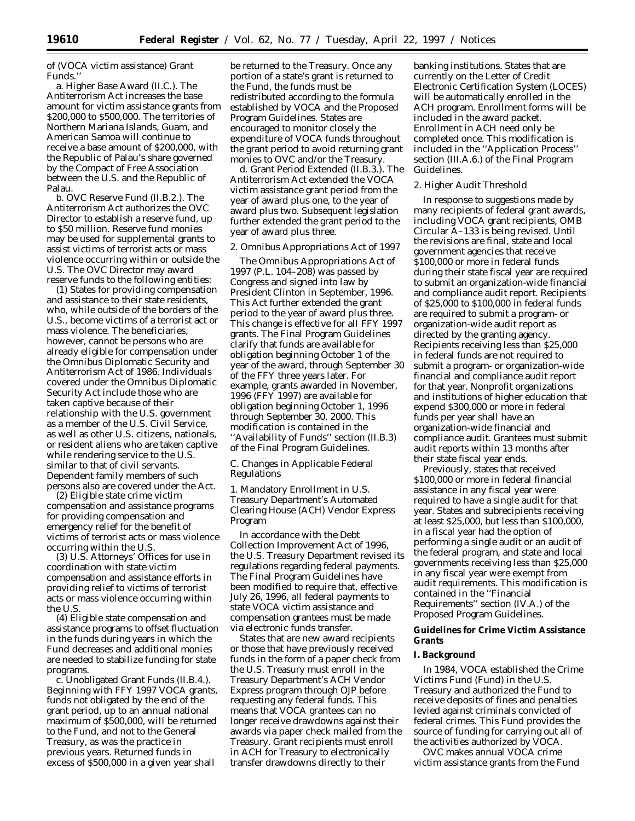of (VOCA victim assistance) Grant Funds.''

a. Higher Base Award (II.C.). The Antiterrorism Act increases the base amount for victim assistance grants from \$200,000 to \$500,000. The territories of Northern Mariana Islands, Guam, and American Samoa will continue to receive a base amount of \$200,000, with the Republic of Palau's share governed by the Compact of Free Association between the U.S. and the Republic of Palau.

b. OVC Reserve Fund (II.B.2.). The Antiterrorism Act authorizes the OVC Director to establish a reserve fund, up to \$50 million. Reserve fund monies may be used for supplemental grants to assist victims of terrorist acts or mass violence occurring within or outside the U.S. The OVC Director may award reserve funds to the following entities:

(1) States for providing compensation and assistance to their state residents, who, while outside of the borders of the U.S., become victims of a terrorist act or mass violence. The beneficiaries, however, cannot be persons who are already eligible for compensation under the Omnibus Diplomatic Security and Antiterrorism Act of 1986. Individuals covered under the Omnibus Diplomatic Security Act include those who are taken captive because of their relationship with the U.S. government as a member of the U.S. Civil Service, as well as other U.S. citizens, nationals, or resident aliens who are taken captive while rendering service to the U.S. similar to that of civil servants. Dependent family members of such persons also are covered under the Act.

(2) Eligible state crime victim compensation and assistance programs for providing compensation and emergency relief for the benefit of victims of terrorist acts or mass violence occurring within the U.S.

(3) U.S. Attorneys' Offices for use in coordination with state victim compensation and assistance efforts in providing relief to victims of terrorist acts or mass violence occurring within the U.S.

(4) Eligible state compensation and assistance programs to offset fluctuation in the funds during years in which the Fund decreases and additional monies are needed to stabilize funding for state programs.

c. Unobligated Grant Funds (II.B.4.). Beginning with FFY 1997 VOCA grants, funds not obligated by the end of the grant period, up to an annual national maximum of \$500,000, will be returned to the Fund, and not to the General Treasury, as was the practice in previous years. Returned funds in excess of \$500,000 in a given year shall

be returned to the Treasury. Once any portion of a state's grant is returned to the Fund, the funds must be redistributed according to the formula established by VOCA and the Proposed Program Guidelines. States are encouraged to monitor closely the expenditure of VOCA funds throughout the grant period to avoid returning grant monies to OVC and/or the Treasury.

d. Grant Period Extended (II.B.3.). The Antiterrorism Act extended the VOCA victim assistance grant period from the year of award plus one, to the year of award plus two. Subsequent legislation further extended the grant period to the year of award plus three.

#### 2. Omnibus Appropriations Act of 1997

The Omnibus Appropriations Act of 1997 (P.L. 104–208) was passed by Congress and signed into law by President Clinton in September, 1996. This Act further extended the grant period to the year of award plus three. This change is effective for all FFY 1997 grants. The Final Program Guidelines clarify that funds are available for obligation beginning October 1 of the year of the award, through September 30 of the FFY three years later. For example, grants awarded in November, 1996 (FFY 1997) are available for obligation beginning October 1, 1996 through September 30, 2000. This modification is contained in the ''Availability of Funds'' section (II.B.3) of the Final Program Guidelines.

### *C. Changes in Applicable Federal Regulations*

1. Mandatory Enrollment in U.S. Treasury Department's Automated Clearing House (ACH) Vendor Express Program

In accordance with the Debt Collection Improvement Act of 1996, the U.S. Treasury Department revised its regulations regarding federal payments. The Final Program Guidelines have been modified to require that, effective July 26, 1996, all federal payments to state VOCA victim assistance and compensation grantees must be made via electronic funds transfer.

States that are new award recipients or those that have previously received funds in the form of a paper check from the U.S. Treasury must enroll in the Treasury Department's ACH Vendor Express program through OJP before requesting any federal funds. This means that VOCA grantees can no longer receive drawdowns against their awards via paper check mailed from the Treasury. Grant recipients must enroll in ACH for Treasury to electronically transfer drawdowns directly to their

banking institutions. States that are currently on the Letter of Credit Electronic Certification System (LOCES) will be automatically enrolled in the ACH program. Enrollment forms will be included in the award packet. Enrollment in ACH need only be completed once. This modification is included in the ''Application Process'' section (III.A.6.) of the Final Program Guidelines.

### 2. Higher Audit Threshold

In response to suggestions made by many recipients of federal grant awards, including VOCA grant recipients, OMB Circular A–133 is being revised. Until the revisions are final, state and local government agencies that *receive* \$100,000 or more in federal funds during their state fiscal year are required to submit an organization-wide financial and compliance audit report. Recipients of \$25,000 to \$100,000 in federal funds are required to submit a program- or organization-wide audit report as directed by the granting agency. Recipients receiving less than \$25,000 in federal funds are not required to submit a program- or organization-wide financial and compliance audit report for that year. Nonprofit organizations and institutions of higher education that *expend* \$300,000 or more in federal funds per year shall have an organization-wide financial and compliance audit. Grantees must submit audit reports within 13 months after their state fiscal year ends.

Previously, states that received \$100,000 or more in federal financial assistance in any fiscal year were required to have a single audit for that year. States and subrecipients receiving at least \$25,000, but less than \$100,000, in a fiscal year had the option of performing a single audit or an audit of the federal program, and state and local governments receiving less than \$25,000 in any fiscal year were exempt from audit requirements. This modification is contained in the ''Financial Requirements'' section (IV.A.) of the Proposed Program Guidelines.

### **Guidelines for Crime Victim Assistance Grants**

### **I. Background**

In 1984, VOCA established the Crime Victims Fund (Fund) in the U.S. Treasury and authorized the Fund to receive deposits of fines and penalties levied against criminals convicted of federal crimes. This Fund provides the source of funding for carrying out all of the activities authorized by VOCA.

OVC makes annual VOCA crime victim assistance grants from the Fund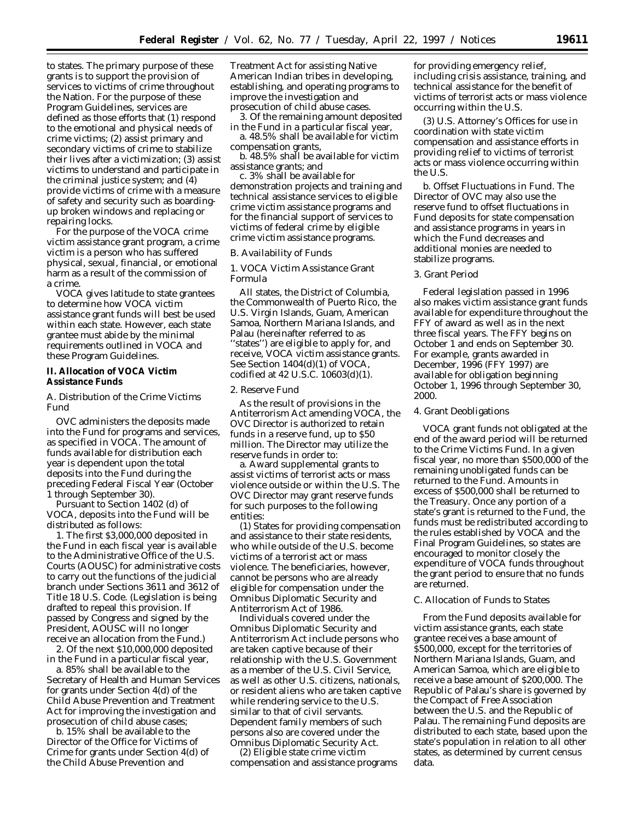to states. The primary purpose of these grants is to support the provision of services to victims of crime throughout the Nation. For the purpose of these Program Guidelines, services are defined as those efforts that (1) respond to the emotional and physical needs of crime victims; (2) assist primary and secondary victims of crime to stabilize their lives after a victimization; (3) assist victims to understand and participate in the criminal justice system; and (4) provide victims of crime with a measure of safety and security such as boardingup broken windows and replacing or repairing locks.

For the purpose of the VOCA crime victim assistance grant program, a crime victim is a person who has suffered physical, sexual, financial, or emotional harm as a result of the commission of a crime.

VOCA gives latitude to state grantees to determine how VOCA victim assistance grant funds will best be used within each state. However, each state grantee must abide by the minimal requirements outlined in VOCA and these Program Guidelines.

### **II. Allocation of VOCA Victim Assistance Funds**

# *A. Distribution of the Crime Victims Fund*

OVC administers the deposits made into the Fund for programs and services, as specified in VOCA. The amount of funds available for distribution each year is dependent upon the total deposits into the Fund during the preceding Federal Fiscal Year (October 1 through September 30).

Pursuant to Section 1402 (d) of VOCA, deposits into the Fund will be distributed as follows:

1. The first \$3,000,000 deposited in the Fund in each fiscal year is available to the Administrative Office of the U.S. Courts (AOUSC) for administrative costs to carry out the functions of the judicial branch under Sections 3611 and 3612 of Title 18 U.S. Code. (Legislation is being drafted to repeal this provision. If passed by Congress and signed by the President, AOUSC will no longer receive an allocation from the Fund.)

2. Of the next \$10,000,000 deposited in the Fund in a particular fiscal year,

a. 85% shall be available to the Secretary of Health and Human Services for grants under Section 4(d) of the Child Abuse Prevention and Treatment Act for improving the investigation and prosecution of child abuse cases;

b. 15% shall be available to the Director of the Office for Victims of Crime for grants under Section 4(d) of the Child Abuse Prevention and

Treatment Act for assisting Native American Indian tribes in developing, establishing, and operating programs to improve the investigation and prosecution of child abuse cases.

3. Of the remaining amount deposited in the Fund in a particular fiscal year,

a. 48.5% shall be available for victim compensation grants,

b. 48.5% shall be available for victim assistance grants; and

c. 3% shall be available for demonstration projects and training and technical assistance services to eligible crime victim assistance programs and for the financial support of services to victims of federal crime by eligible crime victim assistance programs.

### *B. Availability of Funds*

1. VOCA Victim Assistance Grant Formula

All states, the District of Columbia, the Commonwealth of Puerto Rico, the U.S. Virgin Islands, Guam, American Samoa, Northern Mariana Islands, and Palau (hereinafter referred to as ''states'') are eligible to apply for, and receive, VOCA victim assistance grants. See Section 1404(d)(1) of VOCA, codified at 42 U.S.C. 10603(d)(1).

### 2. Reserve Fund

As the result of provisions in the Antiterrorism Act amending VOCA, the OVC Director is authorized to retain funds in a reserve fund, up to \$50 million. The Director may utilize the reserve funds in order to:

a. Award supplemental grants to assist victims of terrorist acts or mass violence outside or within the U.S. The OVC Director may grant reserve funds for such purposes to the following entities:

(1) States for providing compensation and assistance to their state residents, who while outside of the U.S. become victims of a terrorist act or mass violence. The beneficiaries, however, cannot be persons who are already eligible for compensation under the Omnibus Diplomatic Security and Antiterrorism Act of 1986.

Individuals covered under the Omnibus Diplomatic Security and Antiterrorism Act include persons who are taken captive because of their relationship with the U.S. Government as a member of the U.S. Civil Service, as well as other U.S. citizens, nationals, or resident aliens who are taken captive while rendering service to the U.S. similar to that of civil servants. Dependent family members of such persons also are covered under the Omnibus Diplomatic Security Act.

(2) Eligible state crime victim compensation and assistance programs

for providing emergency relief, including crisis assistance, training, and technical assistance for the benefit of victims of terrorist acts or mass violence occurring within the U.S.

(3) U.S. Attorney's Offices for use in coordination with state victim compensation and assistance efforts in providing relief to victims of terrorist acts or mass violence occurring within the U.S.

b. Offset Fluctuations in Fund. The Director of OVC may also use the reserve fund to offset fluctuations in Fund deposits for state compensation and assistance programs in years in which the Fund decreases and additional monies are needed to stabilize programs.

# 3. Grant Period

Federal legislation passed in 1996 also makes victim assistance grant funds available for expenditure throughout the FFY of award as well as in the next three fiscal years. The FFY begins on October 1 and ends on September 30. For example, grants awarded in December, 1996 (FFY 1997) are available for obligation beginning October 1, 1996 through September 30, 2000.

### 4. Grant Deobligations

VOCA grant funds not obligated at the end of the award period will be returned to the Crime Victims Fund. In a given fiscal year, no more than \$500,000 of the remaining unobligated funds can be returned to the Fund. Amounts in excess of \$500,000 shall be returned to the Treasury. Once any portion of a state's grant is returned to the Fund, the funds must be redistributed according to the rules established by VOCA and the Final Program Guidelines, so states are encouraged to monitor closely the expenditure of VOCA funds throughout the grant period to ensure that no funds are returned.

# *C. Allocation of Funds to States*

From the Fund deposits available for victim assistance grants, each state grantee receives a base amount of \$500,000, except for the territories of Northern Mariana Islands, Guam, and American Samoa, which are eligible to receive a base amount of \$200,000. The Republic of Palau's share is governed by the Compact of Free Association between the U.S. and the Republic of Palau. The remaining Fund deposits are distributed to each state, based upon the state's population in relation to all other states, as determined by current census data.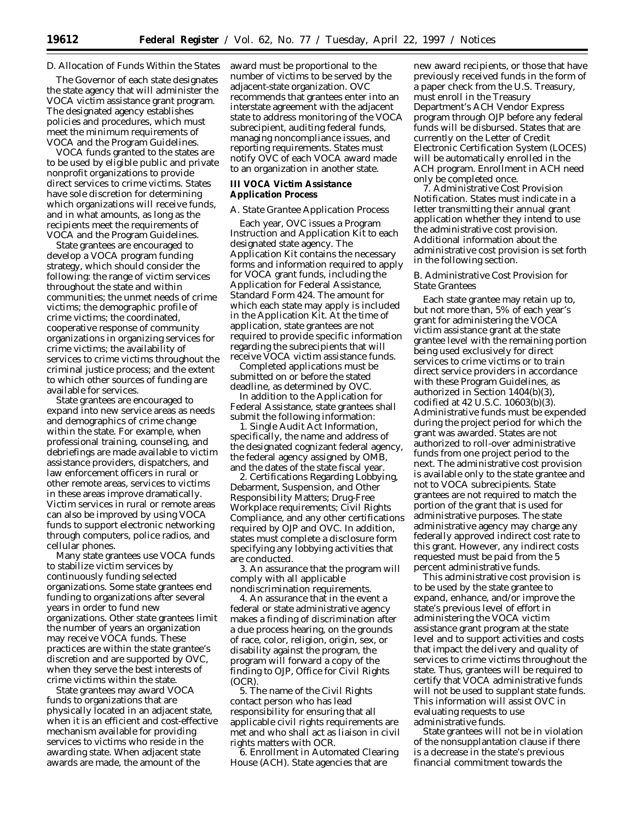# *D. Allocation of Funds Within the States*

The Governor of each state designates the state agency that will administer the VOCA victim assistance grant program. The designated agency establishes policies and procedures, which must meet the minimum requirements of VOCA and the Program Guidelines.

VOCA funds granted to the states are to be used by eligible public and private nonprofit organizations to provide direct services to crime victims. States have sole discretion for determining which organizations will receive funds, and in what amounts, as long as the recipients meet the requirements of VOCA and the Program Guidelines.

State grantees are encouraged to develop a VOCA program funding strategy, which should consider the following: the range of victim services throughout the state and within communities; the unmet needs of crime victims; the demographic profile of crime victims; the coordinated, cooperative response of community organizations in organizing services for crime victims; the availability of services to crime victims throughout the criminal justice process; and the extent to which other sources of funding are available for services.

State grantees are encouraged to expand into new service areas as needs and demographics of crime change within the state. For example, when professional training, counseling, and debriefings are made available to victim assistance providers, dispatchers, and law enforcement officers in rural or other remote areas, services to victims in these areas improve dramatically. Victim services in rural or remote areas can also be improved by using VOCA funds to support electronic networking through computers, police radios, and cellular phones.

Many state grantees use VOCA funds to stabilize victim services by continuously funding selected organizations. Some state grantees end funding to organizations after several years in order to fund new organizations. Other state grantees limit the number of years an organization may receive VOCA funds. These practices are within the state grantee's discretion and are supported by OVC, when they serve the best interests of crime victims within the state.

State grantees may award VOCA funds to organizations that are physically located in an adjacent state, when it is an efficient and cost-effective mechanism available for providing services to victims who reside in the awarding state. When adjacent state awards are made, the amount of the

award must be proportional to the number of victims to be served by the adjacent-state organization. OVC recommends that grantees enter into an interstate agreement with the adjacent state to address monitoring of the VOCA subrecipient, auditing federal funds, managing noncompliance issues, and reporting requirements. States must notify OVC of each VOCA award made to an organization in another state.

### **III VOCA Victim Assistance Application Process**

### *A. State Grantee Application Process*

Each year, OVC issues a Program Instruction and Application Kit to each designated state agency. The Application Kit contains the necessary forms and information required to apply for VOCA grant funds, including the Application for Federal Assistance, Standard Form 424. The amount for which each state may apply is included in the Application Kit. At the time of application, state grantees are not required to provide specific information regarding the subrecipients that will receive VOCA victim assistance funds.

Completed applications must be submitted on or before the stated deadline, as determined by OVC.

In addition to the Application for Federal Assistance, state grantees shall submit the following information:

1. Single Audit Act Information, specifically, the name and address of the designated cognizant federal agency, the federal agency assigned by OMB, and the dates of the state fiscal year.

2. Certifications Regarding Lobbying, Debarment, Suspension, and Other Responsibility Matters; Drug-Free Workplace requirements; Civil Rights Compliance, and any other certifications required by OJP and OVC. In addition, states must complete a disclosure form specifying any lobbying activities that are conducted.

3. An assurance that the program will comply with all applicable nondiscrimination requirements.

4. An assurance that in the event a federal or state administrative agency makes a finding of discrimination after a due process hearing, on the grounds of race, color, religion, origin, sex, or disability against the program, the program will forward a copy of the finding to OJP, Office for Civil Rights (OCR).

5. The name of the Civil Rights contact person who has lead responsibility for ensuring that all applicable civil rights requirements are met and who shall act as liaison in civil rights matters with OCR.

6. Enrollment in Automated Clearing House (ACH). State agencies that are

new award recipients, or those that have previously received funds in the form of a paper check from the U.S. Treasury, must enroll in the Treasury Department's ACH Vendor Express program through OJP before any federal funds will be disbursed. States that are currently on the Letter of Credit Electronic Certification System (LOCES) will be automatically enrolled in the ACH program. Enrollment in ACH need only be completed once.

7. Administrative Cost Provision Notification. States must indicate in a letter transmitting their annual grant application whether they intend to use the administrative cost provision. Additional information about the administrative cost provision is set forth in the following section.

### *B. Administrative Cost Provision for State Grantees*

Each state grantee may retain up to, but not more than, 5% of each year's grant for administering the VOCA victim assistance grant at the state grantee level with the remaining portion being used exclusively for direct services to crime victims or to train direct service providers in accordance with these Program Guidelines, as authorized in Section 1404(b)(3), codified at 42 U.S.C. 10603(b)(3). Administrative funds must be expended during the project period for which the grant was awarded. States are not authorized to roll-over administrative funds from one project period to the next. The administrative cost provision is available only to the state grantee and not to VOCA subrecipients. State grantees are not required to match the portion of the grant that is used for administrative purposes. The state administrative agency may charge any federally approved indirect cost rate to this grant. However, any indirect costs requested must be paid from the 5 percent administrative funds.

This administrative cost provision is to be used by the state grantee to expand, enhance, and/or improve the state's previous level of effort in administering the VOCA victim assistance grant program at the state level and to support activities and costs that impact the delivery and quality of services to crime victims throughout the state. Thus, grantees will be required to certify that VOCA administrative funds will not be used to supplant state funds. This information will assist OVC in evaluating requests to use administrative funds.

State grantees will not be in violation of the nonsupplantation clause if there is a decrease in the state's previous financial commitment towards the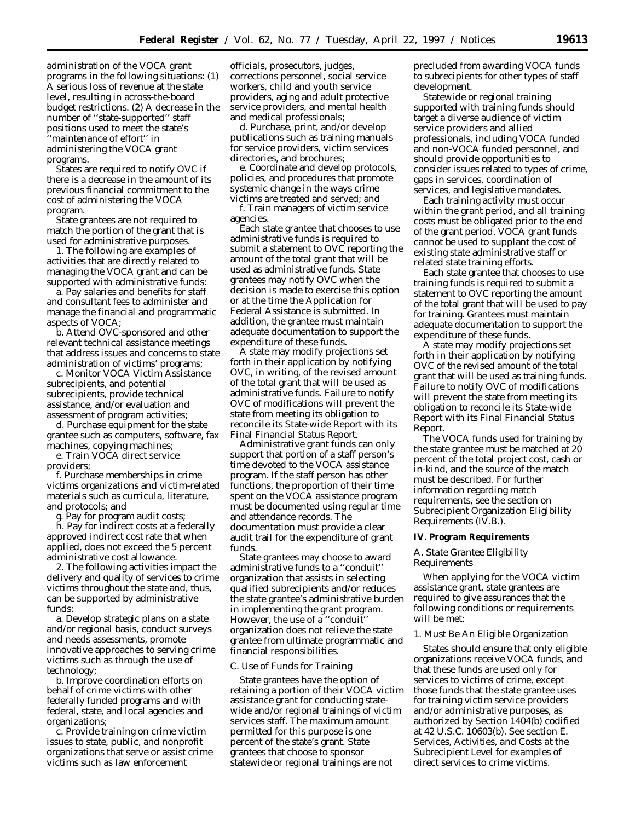administration of the VOCA grant programs in the following situations: (1) A serious loss of revenue at the state level, resulting in across-the-board budget restrictions. (2) A decrease in the number of ''state-supported'' staff positions used to meet the state's ''maintenance of effort'' in administering the VOCA grant programs.

States are required to notify OVC if there is a decrease in the amount of its previous financial commitment to the cost of administering the VOCA program.

State grantees are not required to match the portion of the grant that is used for administrative purposes.

1. The following are examples of activities that are directly related to managing the VOCA grant and can be supported with administrative funds:

a. Pay salaries and benefits for staff and consultant fees to administer and manage the financial and programmatic aspects of VOCA;

b. Attend OVC-sponsored and other relevant technical assistance meetings that address issues and concerns to state administration of victims' programs;

c. Monitor VOCA Victim Assistance subrecipients, and potential subrecipients, provide technical assistance, and/or evaluation and assessment of program activities;

d. Purchase equipment for the state grantee such as computers, software, fax machines, copying machines;

e. Train VOCA direct service providers;

f. Purchase memberships in crime victims organizations and victim-related materials such as curricula, literature, and protocols; and

g. Pay for program audit costs;

h. Pay for indirect costs at a federally approved indirect cost rate that when applied, does not exceed the 5 percent administrative cost allowance.

2. The following activities impact the delivery and quality of services to crime victims throughout the state and, thus, can be supported by administrative funds:

a. Develop strategic plans on a state and/or regional basis, conduct surveys and needs assessments, promote innovative approaches to serving crime victims such as through the use of technology;

b. Improve coordination efforts on behalf of crime victims with other federally funded programs and with federal, state, and local agencies and organizations;

c. Provide training on crime victim issues to state, public, and nonprofit organizations that serve or assist crime victims such as law enforcement

officials, prosecutors, judges, corrections personnel, social service workers, child and youth service providers, aging and adult protective service providers, and mental health and medical professionals;

d. Purchase, print, and/or develop publications such as training manuals for service providers, victim services directories, and brochures;

e. Coordinate and develop protocols, policies, and procedures that promote systemic change in the ways crime victims are treated and served; and

f. Train managers of victim service agencies.

Each state grantee that chooses to use administrative funds is required to submit a statement to OVC reporting the amount of the total grant that will be used as administrative funds. State grantees may notify OVC when the decision is made to exercise this option or at the time the Application for Federal Assistance is submitted. In addition, the grantee must maintain adequate documentation to support the expenditure of these funds.

A state may modify projections set forth in their application by notifying OVC, in writing, of the revised amount of the total grant that will be used as administrative funds. Failure to notify OVC of modifications will prevent the state from meeting its obligation to reconcile its State-wide Report with its Final Financial Status Report.

Administrative grant funds can only support that portion of a staff person's time devoted to the VOCA assistance program. If the staff person has other functions, the proportion of their time spent on the VOCA assistance program must be documented using regular time and attendance records. The documentation must provide a clear audit trail for the expenditure of grant funds.

State grantees may choose to award administrative funds to a ''conduit'' organization that assists in selecting qualified subrecipients and/or reduces the state grantee's administrative burden in implementing the grant program. However, the use of a ''conduit'' organization does not relieve the state grantee from ultimate programmatic and financial responsibilities.

### *C. Use of Funds for Training*

State grantees have the option of retaining a portion of their VOCA victim assistance grant for conducting statewide and/or regional trainings of victim services staff. The maximum amount permitted for this purpose is one percent of the state's grant. State grantees that choose to sponsor statewide or regional trainings are not

precluded from awarding VOCA funds to subrecipients for other types of staff development.

Statewide or regional training supported with training funds should target a diverse audience of victim service providers and allied professionals, including VOCA funded and non-VOCA funded personnel, and should provide opportunities to consider issues related to types of crime, gaps in services, coordination of services, and legislative mandates.

Each training activity must occur within the grant period, and all training costs must be obligated prior to the end of the grant period. VOCA grant funds cannot be used to supplant the cost of existing state administrative staff or related state training efforts.

Each state grantee that chooses to use training funds is required to submit a statement to OVC reporting the amount of the total grant that will be used to pay for training. Grantees must maintain adequate documentation to support the expenditure of these funds.

A state may modify projections set forth in their application by notifying OVC of the revised amount of the total grant that will be used as training funds. Failure to notify OVC of modifications will prevent the state from meeting its obligation to reconcile its State-wide Report with its Final Financial Status Report.

The VOCA funds used for training by the state grantee must be matched at 20 percent of the total project cost, cash or in-kind, and the source of the match must be described. For further information regarding match requirements, see the section on Subrecipient Organization Eligibility Requirements (IV.B.).

#### **IV. Program Requirements**

## *A. State Grantee Eligibility Requirements*

When applying for the VOCA victim assistance grant, state grantees are required to give assurances that the following conditions or requirements will be met:

### 1. Must Be An Eligible Organization

States should ensure that only eligible organizations receive VOCA funds, and that these funds are used only for services to victims of crime, except those funds that the state grantee uses for training victim service providers and/or administrative purposes, as authorized by Section 1404(b) codified at 42 U.S.C. 10603(b). See section *E. Services, Activities, and Costs at the Subrecipient Level* for examples of direct services to crime victims.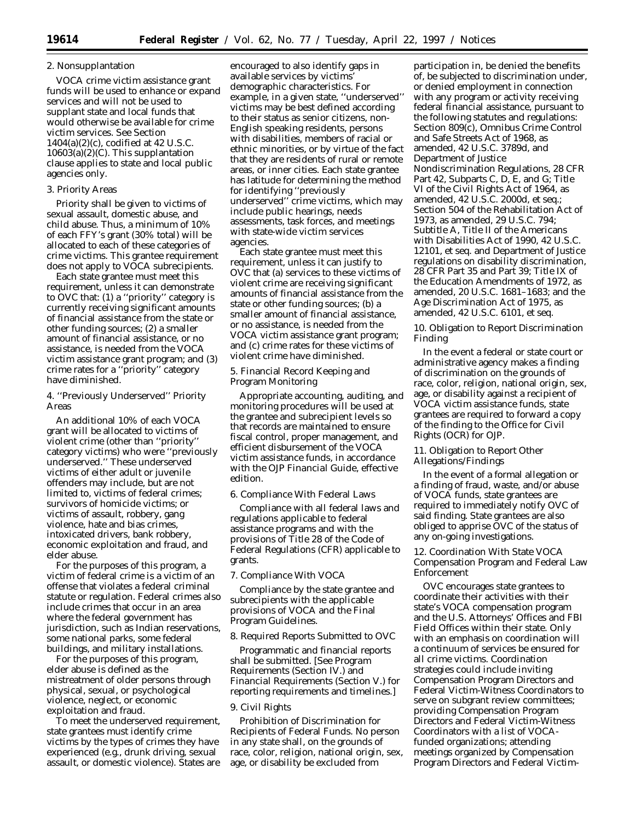# 2. Nonsupplantation

VOCA crime victim assistance grant funds will be used to enhance or expand services and will not be used to supplant state and local funds that would otherwise be available for crime victim services. See Section 1404(a)(2)(c), codified at 42 U.S.C. 10603(a)(2)(C). This supplantation clause applies to state and local public agencies only.

# 3. Priority Areas

Priority shall be given to victims of sexual assault, domestic abuse, and child abuse. Thus, a minimum of 10% of each FFY's grant (30% total) will be allocated to each of these categories of crime victims. This grantee requirement does not apply to VOCA subrecipients.

Each state grantee must meet this requirement, unless it can demonstrate to OVC that: (1) a ''priority'' category is currently receiving significant amounts of financial assistance from the state or other funding sources; (2) a smaller amount of financial assistance, or no assistance, is needed from the VOCA victim assistance grant program; and (3) crime rates for a ''priority'' category have diminished.

4. ''Previously Underserved'' Priority Areas

An additional 10% of each VOCA grant will be allocated to victims of violent crime (other than ''priority'' category victims) who were ''previously underserved.'' These underserved victims of either adult or juvenile offenders may include, but are not limited to, victims of federal crimes; survivors of homicide victims; or victims of assault, robbery, gang violence, hate and bias crimes, intoxicated drivers, bank robbery, economic exploitation and fraud, and elder abuse.

For the purposes of this program, a victim of federal crime is a victim of an offense that violates a federal criminal statute or regulation. Federal crimes also include crimes that occur in an area where the federal government has jurisdiction, such as Indian reservations, some national parks, some federal buildings, and military installations.

For the purposes of this program, elder abuse is defined as the mistreatment of older persons through physical, sexual, or psychological violence, neglect, or economic exploitation and fraud.

To meet the underserved requirement, state grantees must identify crime victims by the types of crimes they have experienced (e.g., drunk driving, sexual assault, or domestic violence). States are

encouraged to also identify gaps in available services by victims' demographic characteristics. For example, in a given state, *''underserved''* victims may be best defined according to their status as senior citizens, non-English speaking residents, persons with disabilities, members of racial or ethnic minorities, or by virtue of the fact that they are residents of rural or remote areas, or inner cities. Each state grantee has latitude for determining the method for identifying ''previously underserved'' crime victims, which may include public hearings, needs assessments, task forces, and meetings with state-wide victim services agencies.

Each state grantee must meet this requirement, unless it can justify to OVC that (a) services to these victims of violent crime are receiving significant amounts of financial assistance from the state or other funding sources; (b) a smaller amount of financial assistance, or no assistance, is needed from the VOCA victim assistance grant program; and (c) crime rates for these victims of violent crime have diminished.

## 5. Financial Record Keeping and Program Monitoring

Appropriate accounting, auditing, and monitoring procedures will be used at the grantee and subrecipient levels so that records are maintained to ensure fiscal control, proper management, and efficient disbursement of the VOCA victim assistance funds, in accordance with the *OJP Financial Guide,* effective edition.

## 6. Compliance With Federal Laws

Compliance with all federal laws and regulations applicable to federal assistance programs and with the provisions of Title 28 of the Code of Federal Regulations (CFR) applicable to grants.

7. Compliance With VOCA

Compliance by the state grantee and subrecipients with the applicable provisions of VOCA and the Final Program Guidelines.

# 8. Required Reports Submitted to OVC

Programmatic and financial reports shall be submitted. [See *Program Requirements* (Section IV.) and *Financial Requirements* (Section V.) for reporting requirements and timelines.]

### 9. Civil Rights

Prohibition of Discrimination for Recipients of Federal Funds. No person in any state shall, on the grounds of race, color, religion, national origin, sex, age, or disability be excluded from

participation in, be denied the benefits of, be subjected to discrimination under, or denied employment in connection with any program or activity receiving federal financial assistance, pursuant to the following statutes and regulations: Section 809(c), Omnibus Crime Control and Safe Streets Act of 1968, as amended, 42 U.S.C. 3789d, and Department of Justice Nondiscrimination Regulations, 28 CFR Part 42, Subparts C, D, E, and G; Title VI of the Civil Rights Act of 1964, as amended, 42 U.S.C. 2000d, *et seq.*; Section 504 of the Rehabilitation Act of 1973, as amended, 29 U.S.C. 794; Subtitle A, Title II of the Americans with Disabilities Act of 1990, 42 U.S.C. 12101, *et seq.* and Department of Justice regulations on disability discrimination, 28 CFR Part 35 and Part 39; Title IX of the Education Amendments of 1972, as amended, 20 U.S.C. 1681–1683; and the Age Discrimination Act of 1975, as amended, 42 U.S.C. 6101, *et seq.*

10. Obligation to Report Discrimination Finding

In the event a federal or state court or administrative agency makes a finding of discrimination on the grounds of race, color, religion, national origin, sex, age, or disability against a recipient of VOCA victim assistance funds, state grantees are required to forward a copy of the finding to the Office for Civil Rights (OCR) for OJP.

11. Obligation to Report Other Allegations/Findings

In the event of a formal allegation or a finding of fraud, waste, and/or abuse of VOCA funds, state grantees are required to immediately notify OVC of said finding. State grantees are also obliged to apprise OVC of the status of any on-going investigations.

12. Coordination With State VOCA Compensation Program and Federal Law Enforcement

OVC encourages state grantees to coordinate their activities with their state's VOCA compensation program and the U.S. Attorneys' Offices and FBI Field Offices within their state. Only with an emphasis on coordination will a continuum of services be ensured for all crime victims. Coordination strategies could include inviting Compensation Program Directors and Federal Victim-Witness Coordinators to serve on subgrant review committees; providing Compensation Program Directors and Federal Victim-Witness Coordinators with a list of VOCAfunded organizations; attending meetings organized by Compensation Program Directors and Federal Victim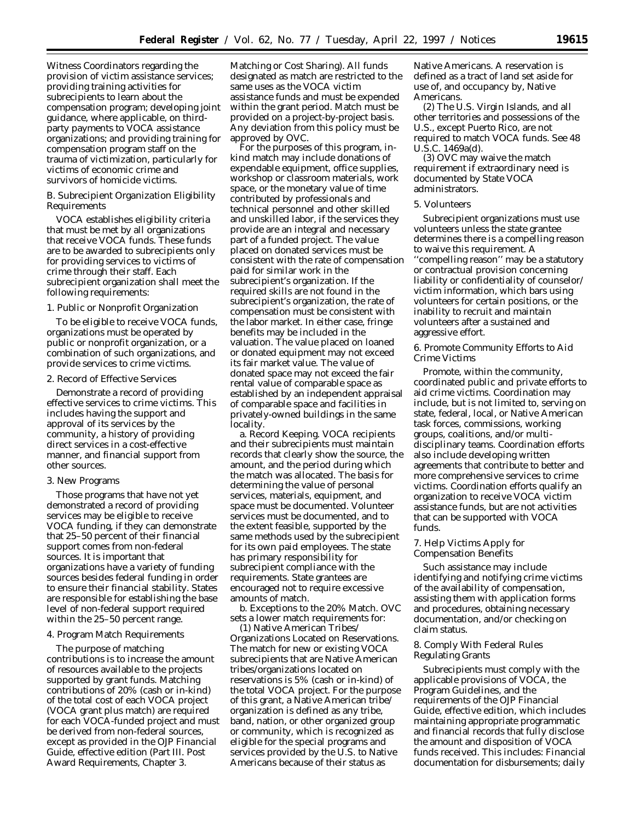Witness Coordinators regarding the provision of victim assistance services; providing training activities for subrecipients to learn about the compensation program; developing joint guidance, where applicable, on thirdparty payments to VOCA assistance organizations; and providing training for compensation program staff on the trauma of victimization, particularly for victims of economic crime and survivors of homicide victims.

## *B. Subrecipient Organization Eligibility Requirements*

VOCA establishes eligibility criteria that must be met by all organizations that receive VOCA funds. These funds are to be awarded to subrecipients only for providing services to victims of crime through their staff. Each subrecipient organization shall meet the following requirements:

# 1. Public or Nonprofit Organization

To be eligible to receive VOCA funds, organizations must be operated by public or nonprofit organization, or a combination of such organizations, and provide services to crime victims.

### 2. Record of Effective Services

Demonstrate a record of providing effective services to crime victims. This includes having the support and approval of its services by the community, a history of providing direct services in a cost-effective manner, and financial support from other sources.

#### 3. New Programs

Those programs that have not yet demonstrated a record of providing services may be eligible to receive VOCA funding, if they can demonstrate that 25–50 percent of their financial support comes from non-federal sources. It is important that organizations have a variety of funding sources besides federal funding in order to ensure their financial stability. States are responsible for establishing the base level of non-federal support required within the 25–50 percent range.

### 4. Program Match Requirements

The purpose of matching contributions is to increase the amount of resources available to the projects supported by grant funds. Matching contributions of 20% (cash or in-kind) of the total cost of each VOCA project (VOCA grant plus match) are required for each VOCA-funded project and must be derived from non-federal sources, except as provided in the *OJP Financial Guide*, effective edition (Part III. Post Award Requirements, Chapter 3.

Matching or Cost Sharing). All funds designated as match are restricted to the same uses as the VOCA victim assistance funds and must be expended within the grant period. Match must be provided on a project-by-project basis. Any deviation from this policy must be approved by OVC.

For the purposes of this program, inkind match may include donations of expendable equipment, office supplies, workshop or classroom materials, work space, or the monetary value of time contributed by professionals and technical personnel and other skilled and unskilled labor, if the services they provide are an integral and necessary part of a funded project. The value placed on donated services must be consistent with the rate of compensation paid for similar work in the subrecipient's organization. If the required skills are not found in the subrecipient's organization, the rate of compensation must be consistent with the labor market. In either case, fringe benefits may be included in the valuation. The value placed on loaned or donated equipment may not exceed its fair market value. The value of donated space may not exceed the fair rental value of comparable space as established by an independent appraisal of comparable space and facilities in privately-owned buildings in the same locality.

a. Record Keeping. VOCA recipients and their subrecipients must maintain records that clearly show the source, the amount, and the period during which the match was allocated. The basis for determining the value of personal services, materials, equipment, and space must be documented. Volunteer services must be documented, and to the extent feasible, supported by the same methods used by the subrecipient for its own paid employees. The state has primary responsibility for subrecipient compliance with the requirements. State grantees are encouraged not to require excessive amounts of match.

b. Exceptions to the 20% Match. OVC sets a lower match requirements for:

(1) Native American Tribes/ Organizations Located on Reservations. The match for new or existing VOCA subrecipients that are Native American tribes/organizations located on reservations is 5% (cash or in-kind) of the total VOCA project. For the purpose of this grant, a Native American tribe/ organization is defined as any tribe, band, nation, or other organized group or community, which is recognized as eligible for the special programs and services provided by the U.S. to Native Americans because of their status as

Native Americans. A reservation is defined as a tract of land set aside for use of, and occupancy by, Native Americans.

(2) The U.S. Virgin Islands, and all other territories and possessions of the U.S., except Puerto Rico, are *not* required to match VOCA funds. See 48 U.S.C. 1469a(d).

(3) OVC may waive the match requirement if extraordinary need is documented by State VOCA administrators.

### 5. Volunteers

Subrecipient organizations must use volunteers unless the state grantee determines there is a compelling reason to waive this requirement. A ''compelling reason'' may be a statutory or contractual provision concerning liability or confidentiality of counselor/ victim information, which bars using volunteers for certain positions, or the inability to recruit and maintain volunteers after a sustained and aggressive effort.

6. Promote Community Efforts to Aid Crime Victims

Promote, within the community, coordinated public and private efforts to aid crime victims. Coordination may include, but is not limited to, serving on state, federal, local, or Native American task forces, commissions, working groups, coalitions, and/or multidisciplinary teams. Coordination efforts also include developing written agreements that contribute to better and more comprehensive services to crime victims. Coordination efforts qualify an organization to receive VOCA victim assistance funds, but are not activities that can be supported with VOCA funds.

7. Help Victims Apply for Compensation Benefits

Such assistance may include identifying and notifying crime victims of the availability of compensation, assisting them with application forms and procedures, obtaining necessary documentation, and/or checking on claim status.

## 8. Comply With Federal Rules Regulating Grants

Subrecipients must comply with the applicable provisions of VOCA, the Program Guidelines, and the requirements of the *OJP Financial Guide,* effective edition, which includes maintaining appropriate programmatic and financial records that fully disclose the amount and disposition of VOCA funds received. This includes: Financial documentation for disbursements; daily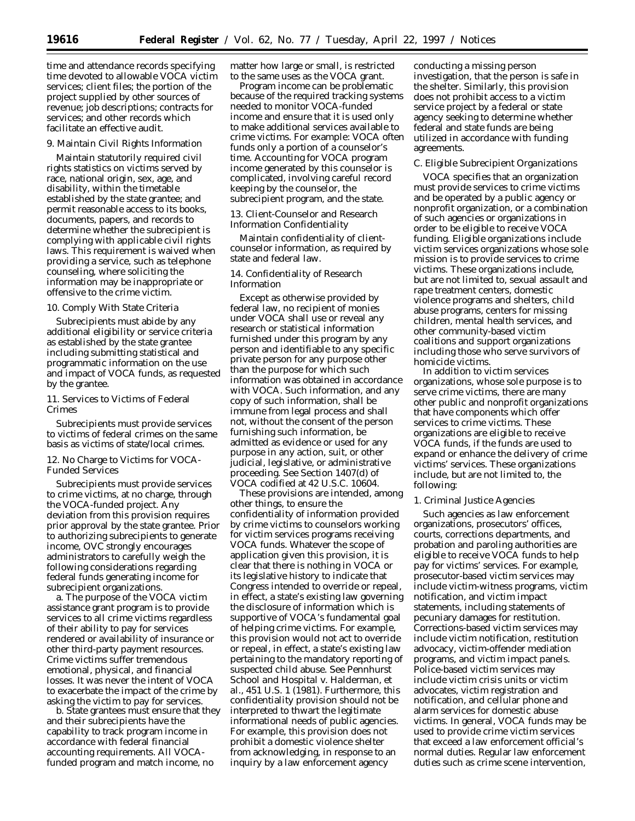time and attendance records specifying time devoted to allowable VOCA victim services; client files; the portion of the project supplied by other sources of revenue; job descriptions; contracts for services; and other records which facilitate an effective audit.

#### 9. Maintain Civil Rights Information

Maintain statutorily required civil rights statistics on victims served by race, national origin, sex, age, and disability, within the timetable established by the state grantee; and permit reasonable access to its books, documents, papers, and records to determine whether the subrecipient is complying with applicable civil rights laws. This requirement is waived when providing a service, such as telephone counseling, where soliciting the information may be inappropriate or offensive to the crime victim.

### 10. Comply With State Criteria

Subrecipients must abide by any additional eligibility or service criteria as established by the state grantee including submitting statistical and programmatic information on the use and impact of VOCA funds, as requested by the grantee.

# 11. Services to Victims of Federal Crimes

Subrecipients must provide services to victims of federal crimes on the same basis as victims of state/local crimes.

# 12. No Charge to Victims for VOCA-Funded Services

Subrecipients must provide services to crime victims, at no charge, through the VOCA-funded project. Any deviation from this provision requires prior approval by the state grantee. Prior to authorizing subrecipients to generate income, OVC strongly encourages administrators to carefully weigh the following considerations regarding federal funds generating income for subrecipient organizations.

a. The purpose of the VOCA victim assistance grant program is to provide services to all crime victims regardless of their ability to pay for services rendered or availability of insurance or other third-party payment resources. Crime victims suffer tremendous emotional, physical, and financial losses. It was never the intent of VOCA to exacerbate the impact of the crime by asking the victim to pay for services.

b. State grantees must ensure that they and their subrecipients have the capability to track program income in accordance with federal financial accounting requirements. All VOCAfunded program and match income, no

matter how large or small, is restricted to the same uses as the VOCA grant.

Program income can be problematic because of the required tracking systems needed to monitor VOCA-funded income and ensure that it is used only to make additional services available to crime victims. For example: VOCA often funds only a portion of a counselor's time. Accounting for VOCA program income generated by this counselor is complicated, involving careful record keeping by the counselor, the subrecipient program, and the state.

13. Client-Counselor and Research Information Confidentiality

Maintain confidentiality of clientcounselor information, as required by state and federal law.

## 14. Confidentiality of Research Information

Except as otherwise provided by federal law, no recipient of monies under VOCA shall use or reveal any research or statistical information furnished under this program by any person and identifiable to any specific private person for any purpose other than the purpose for which such information was obtained in accordance with VOCA. Such information, and any copy of such information, shall be immune from legal process and shall not, without the consent of the person furnishing such information, be admitted as evidence or used for any purpose in any action, suit, or other judicial, legislative, or administrative proceeding. See Section 1407(d) of VOCA codified at 42 U.S.C. 10604.

These provisions are intended, among other things, to ensure the confidentiality of information provided by crime victims to counselors working for victim services programs receiving VOCA funds. Whatever the scope of application given this provision, it is clear that there is nothing in VOCA or its legislative history to indicate that Congress intended to override or repeal, in effect, a state's existing law governing the disclosure of information which is supportive of VOCA's fundamental goal of helping crime victims. For example, this provision would not act to override or repeal, in effect, a state's existing law pertaining to the mandatory reporting of suspected child abuse. See *Pennhurst School and Hospital v. Halderman, et al.,* 451 U.S. 1 (1981). Furthermore, this confidentiality provision should not be interpreted to thwart the legitimate informational needs of public agencies. For example, this provision does not prohibit a domestic violence shelter from acknowledging, in response to an inquiry by a law enforcement agency

conducting a missing person investigation, that the person is safe in the shelter. Similarly, this provision does not prohibit access to a victim service project by a federal or state agency seeking to determine whether federal and state funds are being utilized in accordance with funding agreements.

### *C. Eligible Subrecipient Organizations*

VOCA specifies that an organization must provide services to crime victims and be operated by a public agency or nonprofit organization, or a combination of such agencies or organizations in order to be eligible to receive VOCA funding. Eligible organizations include victim services organizations whose sole mission is to provide services to crime victims. These organizations include, but are not limited to, sexual assault and rape treatment centers, domestic violence programs and shelters, child abuse programs, centers for missing children, mental health services, and other community-based victim coalitions and support organizations including those who serve survivors of homicide victims.

In addition to victim services organizations, whose sole purpose is to serve crime victims, there are many other public and nonprofit organizations that have components which offer services to crime victims. These organizations are eligible to receive VOCA funds, if the funds are used to expand or enhance the delivery of crime victims' services. These organizations include, but are not limited to, the following:

### 1. Criminal Justice Agencies

Such agencies as law enforcement organizations, prosecutors' offices, courts, corrections departments, and probation and paroling authorities are eligible to receive VOCA funds to help pay for victims' services. For example, prosecutor-based victim services may include victim-witness programs, victim notification, and victim impact statements, including statements of pecuniary damages for restitution. Corrections-based victim services may include victim notification, restitution advocacy, victim-offender mediation programs, and victim impact panels. Police-based victim services may include victim crisis units or victim advocates, victim registration and notification, and cellular phone and alarm services for domestic abuse victims. In general, VOCA funds may be used to provide crime victim services that *exceed* a law enforcement official's normal duties. Regular law enforcement duties such as crime scene intervention,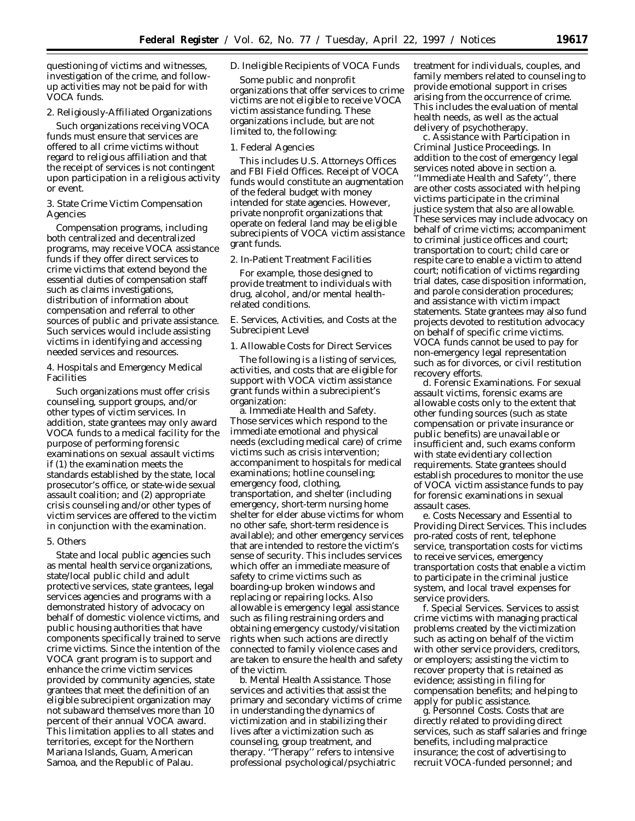questioning of victims and witnesses, investigation of the crime, and followup activities may not be paid for with VOCA funds.

2. Religiously-Affiliated Organizations

Such organizations receiving VOCA funds must ensure that services are offered to all crime victims without regard to religious affiliation and that the receipt of services is not contingent upon participation in a religious activity or event.

3. State Crime Victim Compensation Agencies

Compensation programs, including both centralized and decentralized programs, may receive VOCA assistance funds if they offer direct services to crime victims that extend beyond the essential duties of compensation staff such as claims investigations, distribution of information about compensation and referral to other sources of public and private assistance. Such services would include assisting victims in identifying and accessing needed services and resources.

4. Hospitals and Emergency Medical Facilities

Such organizations must offer crisis counseling, support groups, and/or other types of victim services. In addition, state grantees may only award VOCA funds to a medical facility for the purpose of performing forensic examinations on sexual assault victims if (1) the examination meets the standards established by the state, local prosecutor's office, or state-wide sexual assault coalition; *and* (2) appropriate crisis counseling and/or other types of victim services are offered to the victim in conjunction with the examination.

# 5. Others

State and local public agencies such as mental health service organizations, state/local public child and adult protective services, state grantees, legal services agencies and programs with a demonstrated history of advocacy on behalf of domestic violence victims, and public housing authorities that have components specifically trained to serve crime victims. Since the intention of the VOCA grant program is to support and enhance the crime victim services provided by community agencies, state grantees that meet the definition of an eligible subrecipient organization may not subaward themselves more than 10 percent of their annual VOCA award. This limitation applies to all states and territories, except for the Northern Mariana Islands, Guam, American Samoa, and the Republic of Palau.

# *D. Ineligible Recipients of VOCA Funds*

Some public and nonprofit organizations that offer services to crime victims are not eligible to receive VOCA victim assistance funding. These organizations include, but are not limited to, the following:

### 1. Federal Agencies

This includes U.S. Attorneys Offices and FBI Field Offices. Receipt of VOCA funds would constitute an augmentation of the federal budget with money intended for state agencies. However, private nonprofit organizations that operate on federal land may be eligible subrecipients of VOCA victim assistance grant funds.

### 2. In-Patient Treatment Facilities

For example, those designed to provide treatment to individuals with drug, alcohol, and/or mental healthrelated conditions.

# *E. Services, Activities, and Costs at the Subrecipient Level*

# 1. Allowable Costs for Direct Services

The following is a listing of services, activities, and costs that are eligible for support with VOCA victim assistance grant funds within a subrecipient's organization:

a. Immediate Health and Safety. Those services which respond to the immediate emotional and physical needs (excluding medical care) of crime victims such as crisis intervention; accompaniment to hospitals for medical examinations; hotline counseling; emergency food, clothing, transportation, and shelter (including emergency, short-term nursing home shelter for elder abuse victims for whom no other safe, short-term residence is available); and other emergency services that are intended to restore the victim's sense of security. This includes services which offer an immediate measure of safety to crime victims such as boarding-up broken windows and replacing or repairing locks. Also allowable is emergency legal assistance such as filing restraining orders and obtaining emergency custody/visitation rights when such actions are directly connected to family violence cases and are taken to ensure the health and safety of the victim.

b. Mental Health Assistance. Those services and activities that assist the primary and secondary victims of crime in understanding the dynamics of victimization and in stabilizing their lives after a victimization such as counseling, group treatment, and therapy. ''Therapy'' refers to intensive professional psychological/psychiatric

treatment for individuals, couples, and family members related to counseling to provide emotional support in crises arising from the occurrence of crime. This includes the evaluation of mental health needs, as well as the actual delivery of psychotherapy.

c. Assistance with Participation in Criminal Justice Proceedings. In addition to the cost of emergency legal services noted above in section a. ''Immediate Health and Safety'', there are other costs associated with helping victims participate in the criminal justice system that also are allowable. These services may include advocacy on behalf of crime victims; accompaniment to criminal justice offices and court; transportation to court; child care or respite care to enable a victim to attend court; notification of victims regarding trial dates, case disposition information, and parole consideration procedures; and assistance with victim impact statements. State grantees may also fund projects devoted to restitution advocacy on behalf of specific crime victims. VOCA funds cannot be used to pay for non-emergency legal representation such as for divorces, or civil restitution recovery efforts.

d. Forensic Examinations. For sexual assault victims, forensic exams are allowable costs only to the extent that other funding sources (such as state compensation or private insurance or public benefits) are unavailable or insufficient and, such exams conform with state evidentiary collection requirements. State grantees should establish procedures to monitor the use of VOCA victim assistance funds to pay for forensic examinations in sexual assault cases.

e. Costs Necessary and Essential to Providing Direct Services. This includes pro-rated costs of rent, telephone service, transportation costs for victims to receive services, emergency transportation costs that enable a victim to participate in the criminal justice system, and local travel expenses for service providers.

f. Special Services. Services to assist crime victims with managing practical problems created by the victimization such as acting on behalf of the victim with other service providers, creditors, or employers; assisting the victim to recover property that is retained as evidence; assisting in filing for compensation benefits; and helping to apply for public assistance.

g. Personnel Costs. Costs that are directly related to providing direct services, such as staff salaries and fringe benefits, including malpractice insurance; the cost of advertising to recruit VOCA-funded personnel; and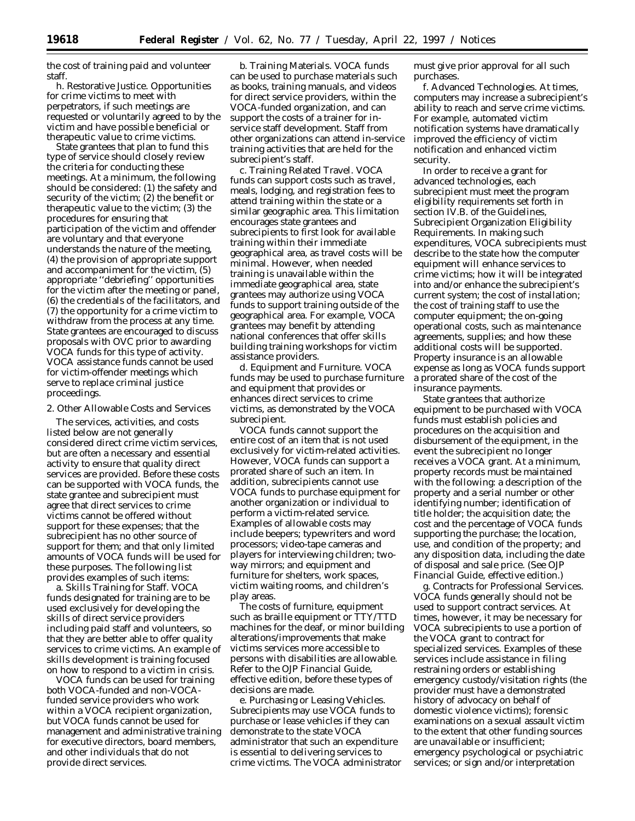the cost of training paid and volunteer staff.

h. Restorative Justice. Opportunities for crime victims to meet with perpetrators, if such meetings are requested or voluntarily agreed to by the victim and have possible beneficial or therapeutic value to crime victims.

State grantees that plan to fund this type of service should closely review the criteria for conducting these meetings. At a minimum, the following should be considered: (1) the safety and security of the victim; (2) the benefit or therapeutic value to the victim; (3) the procedures for ensuring that participation of the victim and offender are voluntary and that everyone understands the nature of the meeting, (4) the provision of appropriate support and accompaniment for the victim, (5) appropriate ''debriefing'' opportunities for the victim after the meeting or panel, (6) the credentials of the facilitators, and (7) the opportunity for a crime victim to withdraw from the process at any time. State grantees are encouraged to discuss proposals with OVC prior to awarding VOCA funds for this type of activity. VOCA assistance funds cannot be used for victim-offender meetings which serve to replace criminal justice proceedings.

2. Other Allowable Costs and Services

The services, activities, and costs listed below are not generally considered direct crime victim services, *but are* often a necessary and essential activity to ensure that quality direct services are provided. Before these costs can be supported with VOCA funds, the state grantee and subrecipient must agree that direct services to crime victims cannot be offered without support for these expenses; that the subrecipient has no other source of support for them; and that only limited amounts of VOCA funds will be used for these purposes. The following list provides examples of such items:

a. Skills Training for Staff. VOCA funds designated for training are to be used exclusively for developing the skills of direct service providers including paid staff and volunteers, so that they are better able to offer quality services to crime victims. An example of skills development is training focused on how to respond to a victim in crisis.

VOCA funds can be used for training both VOCA-funded and non-VOCAfunded service providers who work within a VOCA recipient organization, but VOCA funds cannot be used for management and administrative training for executive directors, board members, and other individuals that do not provide direct services.

b. Training Materials. VOCA funds can be used to purchase materials such as books, training manuals, and videos for direct service providers, within the VOCA-funded organization, and can support the costs of a trainer for inservice staff development. Staff from other organizations can attend in-service training activities that are held for the subrecipient's staff.

c. Training Related Travel. VOCA funds can support costs such as travel, meals, lodging, and registration fees to attend training within the state or a similar geographic area. This limitation encourages state grantees and subrecipients to first look for available training within their immediate geographical area, as travel costs will be minimal. However, when needed training is unavailable within the immediate geographical area, state grantees may authorize using VOCA funds to support training outside of the geographical area. For example, VOCA grantees may benefit by attending national conferences that offer skills building training workshops for victim assistance providers.

d. Equipment and Furniture. VOCA funds may be used to purchase furniture and equipment that provides or enhances direct services to crime victims, as demonstrated by the VOCA subrecipient.

VOCA funds cannot support the entire cost of an item that is not used exclusively for victim-related activities. However, VOCA funds can support a prorated share of such an item. In addition, subrecipients cannot use VOCA funds to purchase equipment for another organization or individual to perform a victim-related service. Examples of allowable costs may include beepers; typewriters and word processors; video-tape cameras and players for interviewing children; twoway mirrors; and equipment and furniture for shelters, work spaces, victim waiting rooms, and children's play areas.

The costs of furniture, equipment such as braille equipment or TTY/TTD machines for the deaf, or minor building alterations/improvements that make victims services more accessible to persons with disabilities are allowable. Refer to the OJP *Financial Guide,* effective edition, before these types of decisions are made.

e. Purchasing or Leasing Vehicles. Subrecipients may use VOCA funds to purchase or lease vehicles if they can demonstrate to the state VOCA administrator that such an expenditure is essential to delivering services to crime victims. The VOCA administrator must give *prior* approval for all such purchases.

f. Advanced Technologies. At times, computers may increase a subrecipient's ability to reach and serve crime victims. For example, automated victim notification systems have dramatically improved the efficiency of victim notification and enhanced victim security.

In order to receive a grant for advanced technologies, each subrecipient must meet the program eligibility requirements set forth in section IV.B. of the Guidelines, Subrecipient Organization Eligibility Requirements. In making such expenditures, VOCA subrecipients must describe to the state how the computer equipment will enhance services to crime victims; how it will be integrated into and/or enhance the subrecipient's current system; the cost of installation; the cost of training staff to use the computer equipment; the on-going operational costs, such as maintenance agreements, supplies; and how these additional costs will be supported. Property insurance is an allowable expense as long as VOCA funds support a prorated share of the cost of the insurance payments.

State grantees that authorize equipment to be purchased with VOCA funds must establish policies and procedures on the acquisition and disbursement of the equipment, in the event the subrecipient no longer receives a VOCA grant. At a minimum, property records must be maintained with the following: a description of the property and a serial number or other identifying number; identification of title holder; the acquisition date; the cost and the percentage of VOCA funds supporting the purchase; the location, use, and condition of the property; and any disposition data, including the date of disposal and sale price. (See *OJP Financial Guide,* effective edition.)

g. Contracts for Professional Services. VOCA funds generally should not be used to support contract services. At times, however, it may be necessary for VOCA subrecipients to use a portion of the VOCA grant to contract for specialized services. Examples of these services include assistance in filing restraining orders or establishing emergency custody/visitation rights (the provider must have a demonstrated history of advocacy on behalf of domestic violence victims); forensic examinations on a sexual assault victim to the extent that other funding sources are unavailable or insufficient; emergency psychological or psychiatric services; or sign and/or interpretation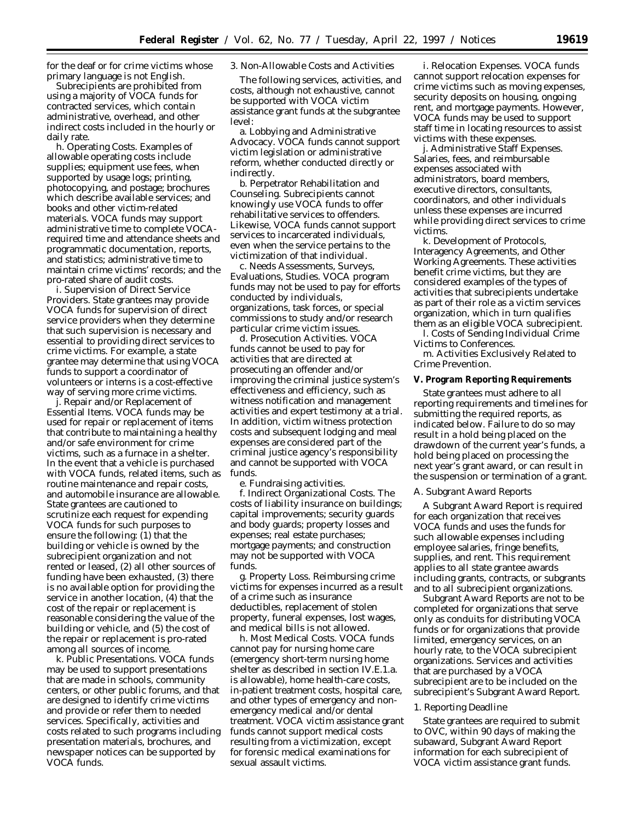for the deaf or for crime victims whose primary language is not English.

Subrecipients are prohibited from using a majority of VOCA funds for contracted services, which contain administrative, overhead, and other indirect costs included in the hourly or daily rate.

h. Operating Costs. Examples of allowable operating costs include supplies; equipment use fees, when supported by usage logs; printing, photocopying, and postage; brochures which describe available services; and books and other victim-related materials. VOCA funds may support administrative time to complete VOCArequired time and attendance sheets and programmatic documentation, reports, and statistics; administrative time to maintain crime victims' records; and the pro-rated share of audit costs.

i. Supervision of Direct Service Providers. State grantees may provide VOCA funds for supervision of direct service providers when they determine that such supervision is necessary and essential to providing direct services to crime victims. For example, a state grantee may determine that using VOCA funds to support a coordinator of volunteers or interns is a cost-effective way of serving more crime victims.

j. Repair and/or Replacement of Essential Items. VOCA funds may be used for repair or replacement of items that contribute to maintaining a healthy and/or safe environment for crime victims, such as a furnace in a shelter. In the event that a vehicle is purchased with VOCA funds, related items, such as routine maintenance and repair costs, and automobile insurance are allowable. State grantees are cautioned to scrutinize each request for expending VOCA funds for such purposes to ensure the following: (1) that the building or vehicle is owned by the subrecipient organization and not rented or leased, (2) all other sources of funding have been exhausted, (3) there is no available option for providing the service in another location, (4) that the cost of the repair or replacement is reasonable considering the value of the building or vehicle, and (5) the cost of the repair or replacement is pro-rated among all sources of income.

k. Public Presentations. VOCA funds may be used to support presentations that are made in schools, community centers, or other public forums, and that are designed to identify crime victims and provide or refer them to needed services. Specifically, activities and costs related to such programs including presentation materials, brochures, and newspaper notices can be supported by VOCA funds.

3. Non-Allowable Costs and Activities

The following services, activities, and costs, although not exhaustive, *cannot* be supported with VOCA victim assistance grant funds at the subgrantee level:

a. Lobbying and Administrative Advocacy. VOCA funds cannot support victim legislation or administrative reform, whether conducted directly or indirectly.

b. Perpetrator Rehabilitation and Counseling. Subrecipients cannot knowingly use VOCA funds to offer rehabilitative services to offenders. Likewise, VOCA funds cannot support services to incarcerated individuals, even when the service pertains to the victimization of that individual.

c. Needs Assessments, Surveys, Evaluations, Studies. VOCA program funds may not be used to pay for efforts conducted by individuals, organizations, task forces, or special commissions to study and/or research particular crime victim issues.

d. Prosecution Activities. VOCA funds cannot be used to pay for activities that are directed at prosecuting an offender and/or improving the criminal justice system's effectiveness and efficiency, such as witness notification and management activities and expert testimony at a trial. In addition, victim witness protection costs and subsequent lodging and meal expenses are considered part of the criminal justice agency's responsibility and cannot be supported with VOCA funds.

e. Fundraising activities.

f. Indirect Organizational Costs. The costs of liability insurance on buildings; capital improvements; security guards and body guards; property losses and expenses; real estate purchases; mortgage payments; and construction may not be supported with VOCA funds.

g. Property Loss. Reimbursing crime victims for expenses incurred as a result of a crime such as insurance deductibles, replacement of stolen property, funeral expenses, lost wages, and medical bills is not allowed.

h. Most Medical Costs. VOCA funds cannot pay for nursing home care (emergency short-term nursing home shelter as described in section IV.E.1.a. is allowable), home health-care costs, in-patient treatment costs, hospital care, and other types of emergency and nonemergency medical and/or dental treatment. VOCA victim assistance grant funds cannot support medical costs resulting from a victimization, except for forensic medical examinations for sexual assault victims.

i. Relocation Expenses. VOCA funds cannot support relocation expenses for crime victims such as moving expenses, security deposits on housing, ongoing rent, and mortgage payments. However, VOCA funds may be used to support staff time in locating resources to assist victims with these expenses.

j. Administrative Staff Expenses. Salaries, fees, and reimbursable expenses associated with administrators, board members, executive directors, consultants, coordinators, and other individuals unless these expenses are incurred while providing direct services to crime victims.

k. Development of Protocols, Interagency Agreements, and Other Working Agreements. These activities benefit crime victims, but they are considered examples of the types of activities that subrecipients undertake as part of their role as a victim services organization, which in turn qualifies them as an eligible VOCA subrecipient.

l. Costs of Sending Individual Crime Victims to Conferences.

m. Activities Exclusively Related to Crime Prevention.

# **V. Program Reporting Requirements**

State grantees must adhere to all reporting requirements and timelines for submitting the required reports, as indicated below. Failure to do so may result in a hold being placed on the drawdown of the current year's funds, a hold being placed on processing the next year's grant award, or can result in the suspension or termination of a grant.

#### *A. Subgrant Award Reports*

A Subgrant Award Report is required for each organization that receives VOCA funds and uses the funds for such allowable expenses including employee salaries, fringe benefits, supplies, and rent. This requirement applies to all state grantee awards including grants, contracts, or subgrants and to all subrecipient organizations.

Subgrant Award Reports are not to be completed for organizations that serve only as conduits for distributing VOCA funds or for organizations that provide limited, emergency services, on an hourly rate, to the VOCA subrecipient organizations. Services and activities that are purchased by a VOCA subrecipient are to be included on the subrecipient's Subgrant Award Report.

#### 1. Reporting Deadline

State grantees are required to submit to OVC, within 90 days of making the subaward, Subgrant Award Report information for each subrecipient of VOCA victim assistance grant funds.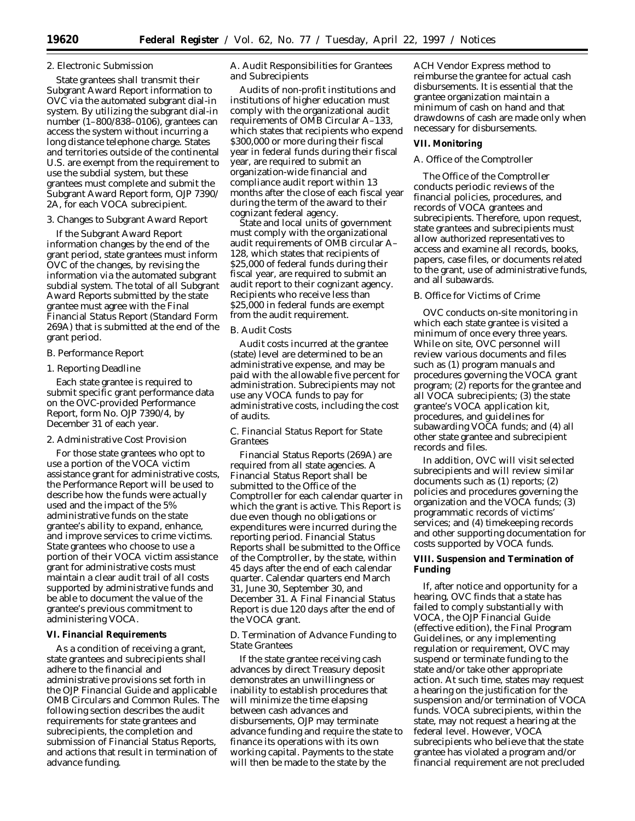## 2. Electronic Submission

State grantees shall transmit their Subgrant Award Report information to OVC via the automated subgrant dial-in system. By utilizing the subgrant dial-in number (1–800/838–0106), grantees can access the system without incurring a long distance telephone charge. States and territories outside of the continental U.S. are exempt from the requirement to use the subdial system, but these grantees must complete and submit the Subgrant Award Report form, OJP 7390/ 2A, for each VOCA subrecipient.

# 3. Changes to Subgrant Award Report

If the Subgrant Award Report information changes by the end of the grant period, state grantees must inform OVC of the changes, by revising the information via the automated subgrant subdial system. The total of all Subgrant Award Reports submitted by the state grantee must agree with the Final Financial Status Report (Standard Form 269A) that is submitted at the end of the grant period.

# *B. Performance Report*

## 1. Reporting Deadline

Each state grantee is required to submit specific grant performance data on the OVC-provided Performance Report, form No. OJP 7390/4, by December 31 of each year.

# 2. Administrative Cost Provision

For those state grantees who opt to use a portion of the VOCA victim assistance grant for administrative costs, the Performance Report will be used to describe how the funds were actually used and the impact of the 5% administrative funds on the state grantee's ability to expand, enhance, and improve services to crime victims. State grantees who choose to use a portion of their VOCA victim assistance grant for administrative costs must maintain a clear audit trail of all costs supported by administrative funds and be able to document the value of the grantee's previous commitment to administering VOCA.

## **VI. Financial Requirements**

As a condition of receiving a grant, state grantees and subrecipients shall adhere to the financial and administrative provisions set forth in the *OJP Financial Guide* and applicable OMB Circulars and Common Rules. The following section describes the audit requirements for state grantees and subrecipients, the completion and submission of Financial Status Reports, and actions that result in termination of advance funding.

# *A. Audit Responsibilities for Grantees and Subrecipients*

Audits of non-profit institutions and institutions of higher education must comply with the organizational audit requirements of OMB Circular A–133, which states that recipients who expend \$300,000 or more during their fiscal year in federal funds during their fiscal year, are required to submit an organization-wide financial and compliance audit report within 13 months after the close of each fiscal year during the term of the award to their cognizant federal agency.

State and local units of government must comply with the organizational audit requirements of OMB circular A– 128, which states that recipients of \$25,000 of federal funds during their fiscal year, are required to submit an audit report to their cognizant agency. Recipients who receive less than \$25,000 in federal funds are exempt from the audit requirement.

### *B. Audit Costs*

Audit costs incurred at the grantee (state) level are determined to be an administrative expense, and may be paid with the allowable five percent for administration. Subrecipients may not use any VOCA funds to pay for administrative costs, including the cost of audits.

# *C. Financial Status Report for State Grantees*

Financial Status Reports (269A) are required from all state agencies. A Financial Status Report shall be submitted to the Office of the Comptroller for each calendar quarter in which the grant is active. This Report is due even though no obligations or expenditures were incurred during the reporting period. Financial Status Reports shall be submitted to the Office of the Comptroller, by the state, within 45 days after the end of each calendar quarter. Calendar quarters end March 31, June 30, September 30, and December 31. A Final Financial Status Report is due 120 days after the end of the VOCA grant.

## *D. Termination of Advance Funding to State Grantees*

If the state grantee receiving cash advances by direct Treasury deposit demonstrates an unwillingness or inability to establish procedures that will minimize the time elapsing between cash advances and disbursements, OJP may terminate advance funding and require the state to finance its operations with its own working capital. Payments to the state will then be made to the state by the

ACH Vendor Express method to reimburse the grantee for actual cash disbursements. It is essential that the grantee organization maintain a minimum of cash on hand and that drawdowns of cash are made only when necessary for disbursements.

### **VII. Monitoring**

# *A. Office of the Comptroller*

The Office of the Comptroller conducts periodic reviews of the financial policies, procedures, and records of VOCA grantees and subrecipients. Therefore, upon request, state grantees and subrecipients must allow authorized representatives to access and examine all records, books, papers, case files, or documents related to the grant, use of administrative funds, and all subawards.

# *B. Office for Victims of Crime*

OVC conducts on-site monitoring in which each state grantee is visited a minimum of once every three years. While on site, OVC personnel will review various documents and files such as (1) program manuals and procedures governing the VOCA grant program; (2) reports for the grantee and all VOCA subrecipients; (3) the state grantee's VOCA application kit, procedures, and guidelines for subawarding VOCA funds; and (4) all other state grantee and subrecipient records and files.

In addition, OVC will visit selected subrecipients and will review similar documents such as (1) reports; (2) policies and procedures governing the organization and the VOCA funds; (3) programmatic records of victims' services; and (4) timekeeping records and other supporting documentation for costs supported by VOCA funds.

# **VIII. Suspension and Termination of Funding**

If, after notice and opportunity for a hearing, OVC finds that a state has failed to comply substantially with VOCA, the OJP Financial Guide (effective edition), the Final Program Guidelines, or any implementing regulation or requirement, OVC may suspend or terminate funding to the state and/or take other appropriate action. At such time, states may request a hearing on the justification for the suspension and/or termination of VOCA funds. VOCA subrecipients, within the state, may not request a hearing at the federal level. However, VOCA subrecipients who believe that the state grantee has violated a program and/or financial requirement are not precluded